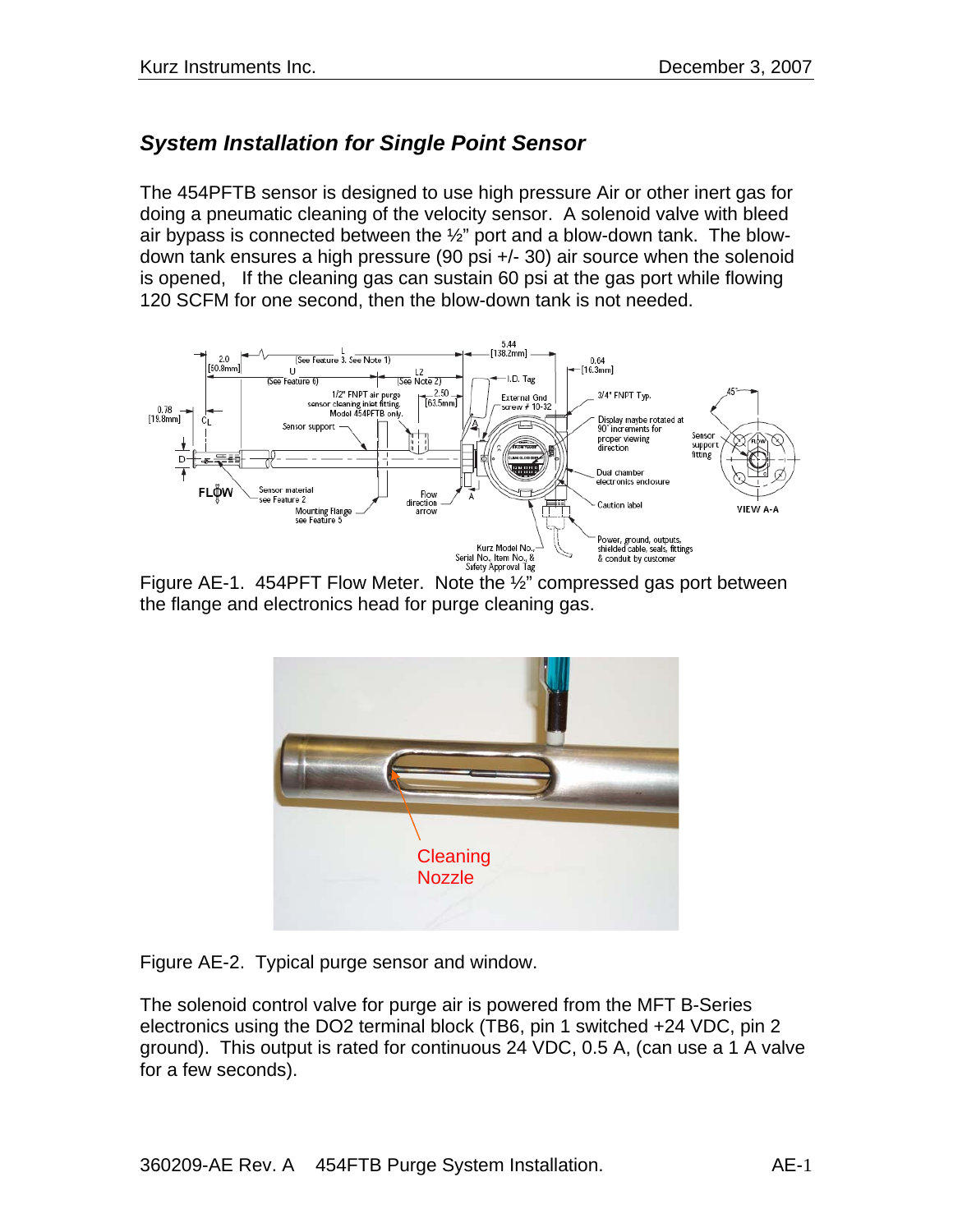# *System Installation for Single Point Sensor*

The 454PFTB sensor is designed to use high pressure Air or other inert gas for doing a pneumatic cleaning of the velocity sensor. A solenoid valve with bleed air bypass is connected between the  $\frac{1}{2}$ " port and a blow-down tank. The blowdown tank ensures a high pressure (90 psi +/- 30) air source when the solenoid is opened, If the cleaning gas can sustain 60 psi at the gas port while flowing 120 SCFM for one second, then the blow-down tank is not needed.



Figure AE-1. 454PFT Flow Meter. Note the ½" compressed gas port between the flange and electronics head for purge cleaning gas.



Figure AE-2. Typical purge sensor and window.

The solenoid control valve for purge air is powered from the MFT B-Series electronics using the DO2 terminal block (TB6, pin 1 switched +24 VDC, pin 2 ground). This output is rated for continuous 24 VDC, 0.5 A, (can use a 1 A valve for a few seconds).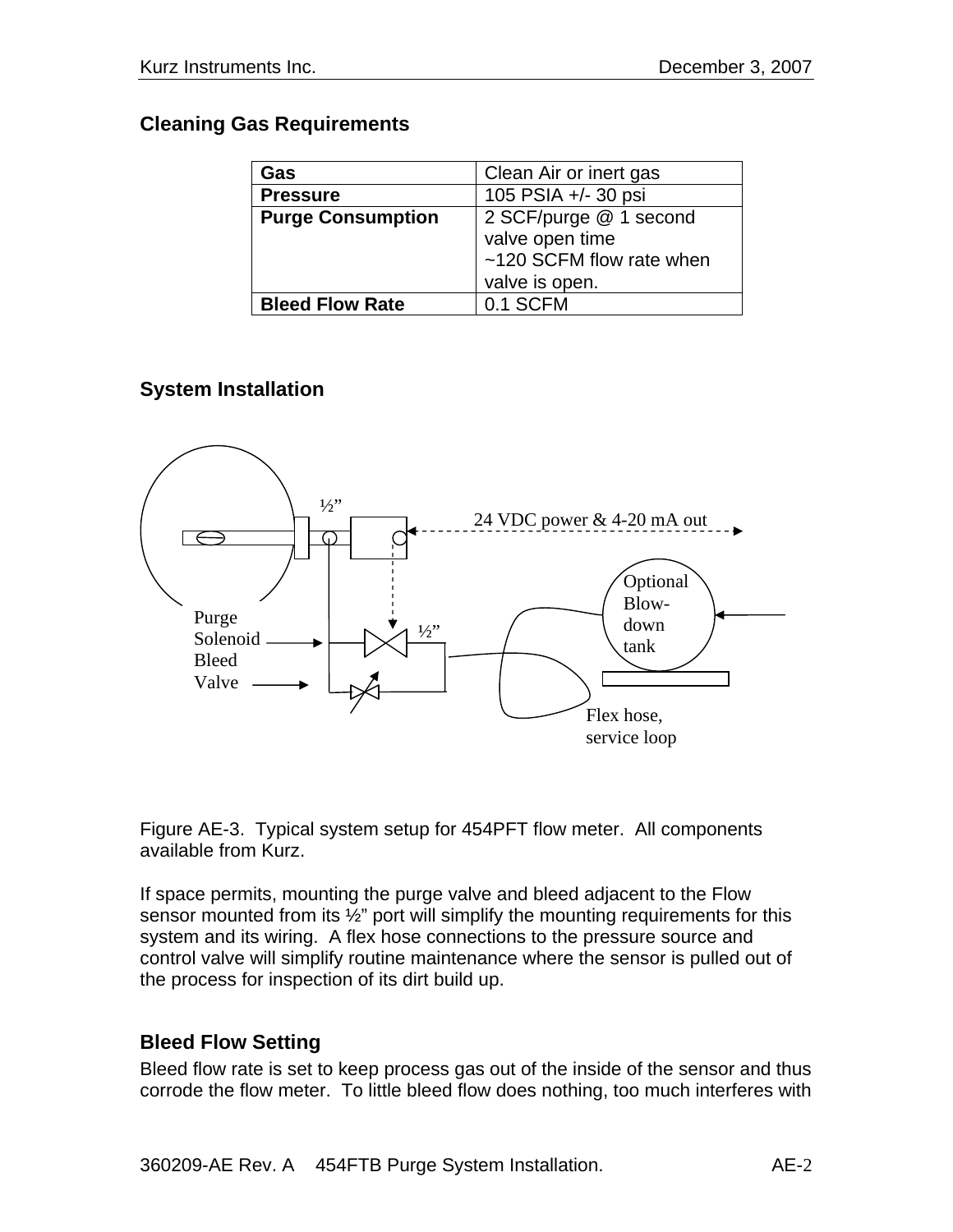#### **Cleaning Gas Requirements**

| Gas                      | Clean Air or inert gas   |
|--------------------------|--------------------------|
| <b>Pressure</b>          | 105 PSIA +/- 30 psi      |
| <b>Purge Consumption</b> | 2 SCF/purge @ 1 second   |
|                          | valve open time          |
|                          | ~120 SCFM flow rate when |
|                          | valve is open.           |
| <b>Bleed Flow Rate</b>   | 0.1 SCFM                 |

# **System Installation**



Figure AE-3. Typical system setup for 454PFT flow meter. All components available from Kurz.

If space permits, mounting the purge valve and bleed adjacent to the Flow sensor mounted from its 1/2" port will simplify the mounting requirements for this system and its wiring. A flex hose connections to the pressure source and control valve will simplify routine maintenance where the sensor is pulled out of the process for inspection of its dirt build up.

### **Bleed Flow Setting**

Bleed flow rate is set to keep process gas out of the inside of the sensor and thus corrode the flow meter. To little bleed flow does nothing, too much interferes with